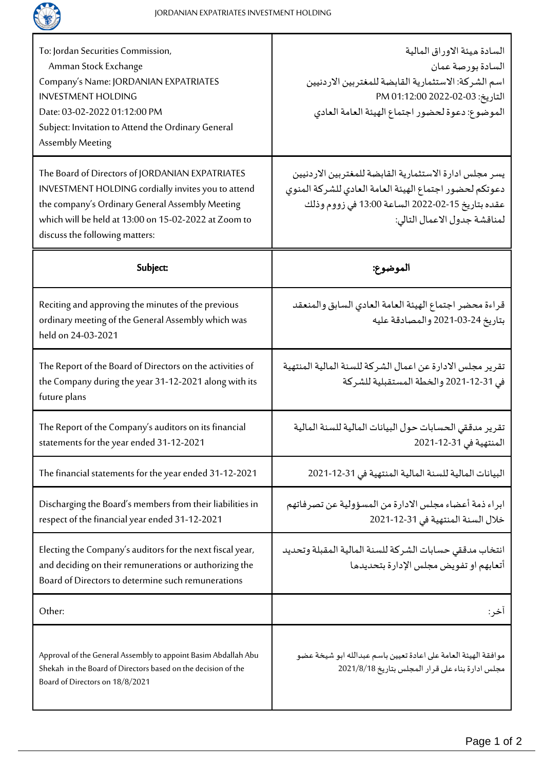

| To: Jordan Securities Commission,<br>Amman Stock Exchange<br>Company's Name: JORDANIAN EXPATRIATES<br><b>INVESTMENT HOLDING</b><br>Date: 03-02-2022 01:12:00 PM<br>Subject: Invitation to Attend the Ordinary General<br>Assembly Meeting          | السادة ميئة الاوراق المالية<br>السادة بورصة عمان<br>اسم الشركة: الاستثمارية القابضة للمغتربين الاردنيين<br>التاريخ: 03-02-2022 1:12:00 PM<br>الموضوع: دعوة لحضور اجتماع الهيئة العامة العادي         |
|----------------------------------------------------------------------------------------------------------------------------------------------------------------------------------------------------------------------------------------------------|------------------------------------------------------------------------------------------------------------------------------------------------------------------------------------------------------|
| The Board of Directors of JORDANIAN EXPATRIATES<br>INVESTMENT HOLDING cordially invites you to attend<br>the company's Ordinary General Assembly Meeting<br>which will be held at 13:00 on 15-02-2022 at Zoom to<br>discuss the following matters: | يسر مجلس ادارة الاستثمارية القابضة للمغتربين الاردنيين<br>دعوتكم لحضور اجتماع الهيئة العامة العادي للشركة المنوى<br>عقده بتاريخ 15-02-2022 الساعة 13:00 في زووم وذلك<br>لمناقشة جدول الاعمال التالي: |
| Subject:                                                                                                                                                                                                                                           | الموضوع:                                                                                                                                                                                             |
| Reciting and approving the minutes of the previous<br>ordinary meeting of the General Assembly which was<br>held on 24-03-2021                                                                                                                     | قراءة محضر اجتماع الهيئة العامة العادي السابق والمنعقد<br>بتاريخ 24-03-2021 والمصادقة عليه                                                                                                           |
| The Report of the Board of Directors on the activities of<br>the Company during the year 31-12-2021 along with its<br>future plans                                                                                                                 | تقرير مجلس الادارة عن اعمال الشركة للسنة المالية المنتهية<br>في 31-12-2021 والخطة المستقبلية للشركة                                                                                                  |
| The Report of the Company's auditors on its financial<br>statements for the year ended 31-12-2021                                                                                                                                                  | تقرير مدققى الحسابات حول البيانات المالية للسنة المالية<br>المنتهية في 31-12-2021                                                                                                                    |
| The financial statements for the year ended 31-12-2021                                                                                                                                                                                             | البيانات المالية للسنة المالية المنتهية في 31-12-2021                                                                                                                                                |
| Discharging the Board's members from their liabilities in<br>respect of the financial year ended 31-12-2021                                                                                                                                        | ابراء ذمة أعضاء مجلس الادارة من المسؤولية عن تصرفاتهم<br>خلال السنة المنتهية في 31-12-2021                                                                                                           |
| Electing the Company's auditors for the next fiscal year,<br>and deciding on their remunerations or authorizing the<br>Board of Directors to determine such remunerations                                                                          | انتخاب مدققي حسابات الشركة للسنة المالية المقبلة وتحديد<br>أتعابهم او تفويض مجلس الإدارة بتحديدها                                                                                                    |
| Other:                                                                                                                                                                                                                                             | اخر :                                                                                                                                                                                                |
| Approval of the General Assembly to appoint Basim Abdallah Abu<br>Shekah in the Board of Directors based on the decision of the<br>Board of Directors on 18/8/2021                                                                                 | موافقة الهيئة العامة على اعادة تعيين باسم عبدالله ابو شيخة عضو<br>مجلس ادارة بناء على قرار المجلس بتاريخ 2021/8/18                                                                                   |